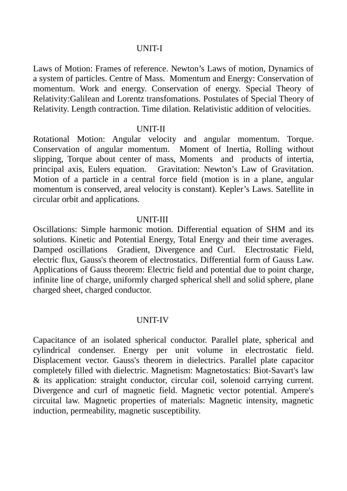#### UNIT-I

Laws of Motion: Frames of reference. Newton's Laws of motion, Dynamics of a system of particles. Centre of Mass. Momentum and Energy: Conservation of momentum. Work and energy. Conservation of energy. Special Theory of Relativity:Galilean and Lorentz transfomations. Postulates of Special Theory of Relativity. Length contraction. Time dilation. Relativistic addition of velocities.

#### UNIT-II

Rotational Motion: Angular velocity and angular momentum. Torque. Conservation of angular momentum. Moment of Inertia, Rolling without slipping, Torque about center of mass, Moments and products of intertia, principal axis, Eulers equation. Gravitation: Newton's Law of Gravitation. Motion of a particle in a central force field (motion is in a plane, angular momentum is conserved, areal velocity is constant). Kepler's Laws. Satellite in circular orbit and applications.

#### UNIT-III

Oscillations: Simple harmonic motion. Differential equation of SHM and its solutions. Kinetic and Potential Energy, Total Energy and their time averages. Damped oscillations Gradient, Divergence and Curl. Electrostatic Field, electric flux, Gauss's theorem of electrostatics. Differential form of Gauss Law. Applications of Gauss theorem: Electric field and potential due to point charge, infinite line of charge, uniformly charged spherical shell and solid sphere, plane charged sheet, charged conductor.

### UNIT-IV

Capacitance of an isolated spherical conductor. Parallel plate, spherical and cylindrical condenser. Energy per unit volume in electrostatic field. Displacement vector. Gauss's theorem in dielectrics. Parallel plate capacitor completely filled with dielectric. Magnetism: Magnetostatics: Biot-Savart's law & its application: straight conductor, circular coil, solenoid carrying current. Divergence and curl of magnetic field. Magnetic vector potential. Ampere's circuital law. Magnetic properties of materials: Magnetic intensity, magnetic induction, permeability, magnetic susceptibility.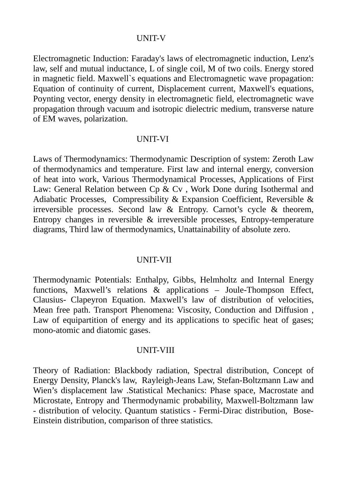# UNIT-V

Electromagnetic Induction: Faraday's laws of electromagnetic induction, Lenz's law, self and mutual inductance, L of single coil, M of two coils. Energy stored in magnetic field. Maxwell`s equations and Electromagnetic wave propagation: Equation of continuity of current, Displacement current, Maxwell's equations, Poynting vector, energy density in electromagnetic field, electromagnetic wave propagation through vacuum and isotropic dielectric medium, transverse nature of EM waves, polarization.

### UNIT-VI

Laws of Thermodynamics: Thermodynamic Description of system: Zeroth Law of thermodynamics and temperature. First law and internal energy, conversion of heat into work, Various Thermodynamical Processes, Applications of First Law: General Relation between Cp & Cv , Work Done during Isothermal and Adiabatic Processes, Compressibility & Expansion Coefficient, Reversible & irreversible processes. Second law & Entropy. Carnot's cycle & theorem, Entropy changes in reversible & irreversible processes, Entropy-temperature diagrams, Third law of thermodynamics, Unattainability of absolute zero.

### UNIT-VII

Thermodynamic Potentials: Enthalpy, Gibbs, Helmholtz and Internal Energy functions, Maxwell's relations & applications – Joule-Thompson Effect, Clausius- Clapeyron Equation. Maxwell's law of distribution of velocities, Mean free path. Transport Phenomena: Viscosity, Conduction and Diffusion , Law of equipartition of energy and its applications to specific heat of gases; mono-atomic and diatomic gases.

### UNIT-VIII

Theory of Radiation: Blackbody radiation, Spectral distribution, Concept of Energy Density, Planck's law, Rayleigh-Jeans Law, Stefan-Boltzmann Law and Wien's displacement law .Statistical Mechanics: Phase space, Macrostate and Microstate, Entropy and Thermodynamic probability, Maxwell-Boltzmann law - distribution of velocity. Quantum statistics - Fermi-Dirac distribution, Bose-Einstein distribution, comparison of three statistics.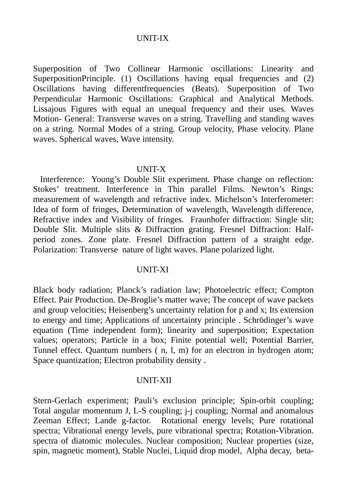## UNIT-IX

Superposition of Two Collinear Harmonic oscillations: Linearity and SuperpositionPrinciple. (1) Oscillations having equal frequencies and (2) Oscillations having differentfrequencies (Beats). Superposition of Two Perpendicular Harmonic Oscillations: Graphical and Analytical Methods. Lissajous Figures with equal an unequal frequency and their uses. Waves Motion- General: Transverse waves on a string. Travelling and standing waves on a string. Normal Modes of a string. Group velocity, Phase velocity. Plane waves. Spherical waves, Wave intensity.

#### UNIT-X

 Interference: Young's Double Slit experiment. Phase change on reflection: Stokes' treatment. Interference in Thin parallel Films. Newton's Rings: measurement of wavelength and refractive index. Michelson's Interferometer: Idea of form of fringes, Determination of wavelength, Wavelength difference, Refractive index and Visibility of fringes. Fraunhofer diffraction: Single slit; Double Slit. Multiple slits & Diffraction grating. Fresnel Diffraction: Halfperiod zones. Zone plate. Fresnel Diffraction pattern of a straight edge. Polarization: Transverse nature of light waves. Plane polarized light.

### UNIT-XI

Black body radiation; Planck's radiation law; Photoelectric effect; Compton Effect. Pair Production. De-Broglie's matter wave; The concept of wave packets and group velocities; Heisenberg's uncertainty relation for p and x; Its extension to energy and time; Applications of uncertainty principle . Schrödinger's wave equation (Time independent form); linearity and superposition; Expectation values; operators; Particle in a box; Finite potential well; Potential Barrier, Tunnel effect. Quantum numbers ( n, l, m) for an electron in hydrogen atom; Space quantization; Electron probability density .

### UNIT-XII

Stern-Gerlach experiment; Pauli's exclusion principle; Spin-orbit coupling; Total angular momentum J, L-S coupling; j-j coupling; Normal and anomalous Zeeman Effect; Lande g-factor. Rotational energy levels; Pure rotational spectra; Vibrational energy levels, pure vibrational spectra; Rotation-Vibration. spectra of diatomic molecules. Nuclear composition; Nuclear properties (size, spin, magnetic moment), Stable Nuclei, Liquid drop model, Alpha decay, beta-